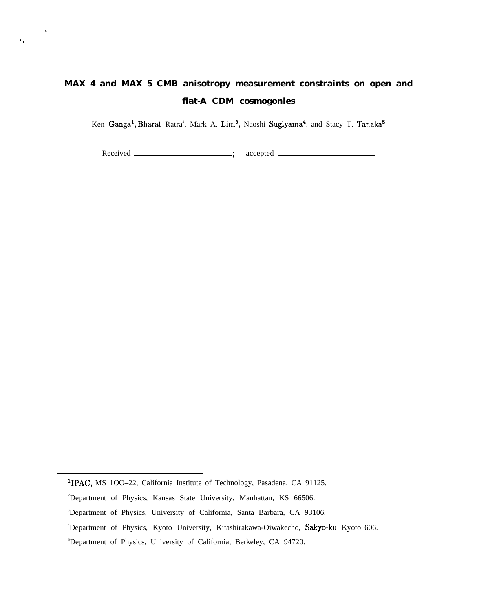# **MAX 4 and MAX 5 CMB anisotropy measurement constraints on open and flat-A CDM cosmogonies**

Ken Ganga<sup>1</sup>, Bharat Ratra<sup>2</sup>, Mark A. Lim<sup>3</sup>, Naoshi Sugiyama<sup>4</sup>, and Stacy T. Tanaka<sup>t</sup>

Received \_\_\_\_\_\_\_\_\_\_\_\_\_\_\_\_\_\_\_; accepted \_

.

*".*

lIPAC, MS 1OO–22, California Institute of Technology, Pasadena, CA 91125.

<sup>&</sup>lt;sup>2</sup>Department of Physics, Kansas State University, Manhattan, KS 66506.

<sup>3</sup>Department of Physics, University of California, Santa Barbara, CA 93106.

<sup>4</sup>Department of Physics, Kyoto University, Kitashirakawa-Oiwakecho, Sakyo-ku, Kyoto 606.

<sup>5</sup>Department of Physics, University of California, Berkeley, CA 94720.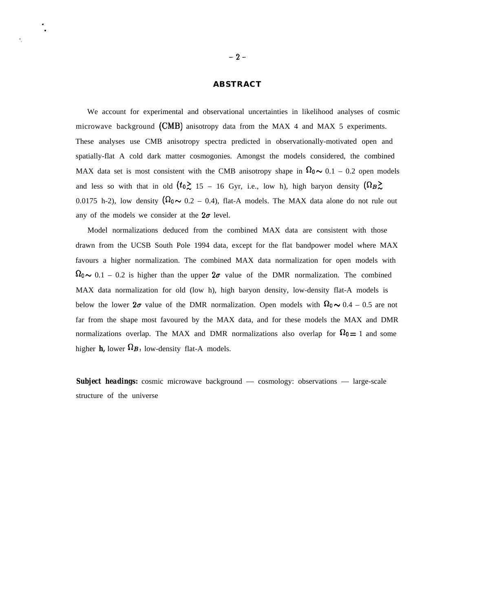#### **ABSTRACT**

We account for experimental and observational uncertainties in likelihood analyses of cosmic microwave background (CMB) anisotropy data from the MAX 4 and MAX 5 experiments. These analyses use CMB anisotropy spectra predicted in observationally-motivated open and spatially-flat A cold dark matter cosmogonies. Amongst the models considered, the combined MAX data set is most consistent with the CMB anisotropy shape in  $\Omega_0 \sim 0.1 - 0.2$  open models and less so with that in old  $(t_0 \ge 15 - 16)$  Gyr, i.e., low h), high baryon density  $(\Omega_B \ge 15)$ 0.0175 h-2), low density  $(\Omega_0 \sim 0.2 - 0.4)$ , flat-A models. The MAX data alone do not rule out any of the models we consider at the  $2\sigma$  level.

Model normalizations deduced from the combined MAX data are consistent with those drawn from the UCSB South Pole 1994 data, except for the flat bandpower model where MAX favours a higher normalization. The combined MAX data normalization for open models with  $\Omega_0 \sim 0.1 - 0.2$  is higher than the upper  $2\sigma$  value of the DMR normalization. The combined MAX data normalization for old (low h), high baryon density, low-density flat-A models is below the lower  $2\sigma$  value of the DMR normalization. Open models with  $\Omega_0 \sim 0.4 - 0.5$  are not far from the shape most favoured by the MAX data, and for these models the MAX and DMR normalizations overlap. The MAX and DMR normalizations also overlap for  $\Omega_0 = 1$  and some higher  $h$ , lower  $\Omega_B$ , low-density flat-A models.

**Subject headings:** cosmic microwave background — cosmology: observations — large-scale structure of the universe

. .

*".*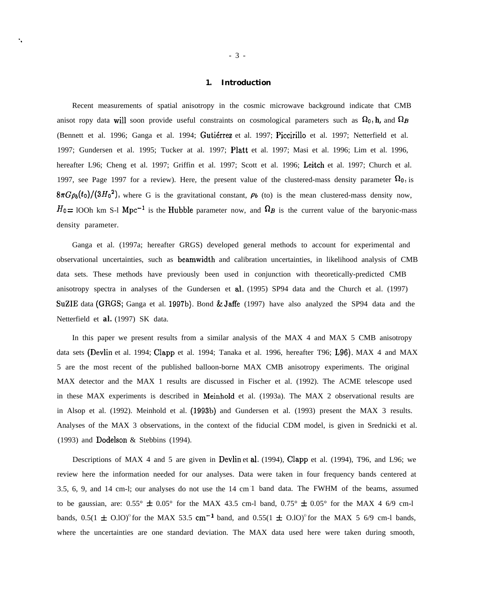# **1. Introduction**

Recent measurements of spatial anisotropy in the cosmic microwave background indicate that CMB anisot ropy data will soon provide useful constraints on cosmological parameters such as  $\Omega_0$ , h, and  $\Omega_B$ (Bennett et al. 1996; Ganga et al. 1994; Guti6rrez et al. 1997; Piccirillo et al. 1997; Netterfield et al. 1997; Gundersen et al. 1995; Tucker at al. 1997; Platt et al. 1997; Masi et al. 1996; Lim et al. 1996, hereafter L96; Cheng et al. 1997; Griffin et al. 1997; Scott et al. 1996; Leitch et al. 1997; Church et al. 1997, see Page 1997 for a review). Here, the present value of the clustered-mass density parameter  $\Omega_0$ , is  $8\pi G\rho_b(t_0)/(3H_0^2)$ , where G is the gravitational constant,  $\rho_b$  (to) is the mean clustered-mass density now,  $H_0 = 100$ h km S-l Mpc<sup>-1</sup> is the Hubble parameter now, and  $\Omega_B$  is the current value of the baryonic-mass density parameter.

Ganga et al. (1997a; hereafter GRGS) developed general methods to account for experimental and observational uncertainties, such as beamwidth and calibration uncertainties, in likelihood analysis of CMB data sets. These methods have previously been used in conjunction with theoretically-predicted CMB anisotropy spectra in analyses of the Gundersen et al. (1995) SP94 data and the Church et al. (1997) SUZIE data (GRGS; Ganga et al. 1997b). Bond & Jaffe (1997) have also analyzed the SP94 data and the Netterfield et *al.* (1997) SK data.

In this paper we present results from a similar analysis of the MAX 4 and MAX 5 CMB anisotropy data sets (Devlin et al. 1994; Clapp et al. 1994; Tanaka et al. 1996, hereafter T96; L96). MAX 4 and MAX 5 are the most recent of the published balloon-borne MAX CMB anisotropy experiments. The original MAX detector and the MAX 1 results are discussed in Fischer et al. (1992). The ACME telescope used in these MAX experiments is described in Meinhold et al. (1993a). The MAX 2 observational results are in Alsop et al. (1992). Meinhold et al. (1993b) and Gundersen et al. (1993) present the MAX 3 results. Analyses of the MAX 3 observations, in the context of the fiducial CDM model, is given in Srednicki et al. (1993) and Dodelson & Stebbins (1994).

Descriptions of MAX 4 and 5 are given in Devlin et al, (1994), Clapp et al. (1994), T96, and L96; we review here the information needed for our analyses. Data were taken in four frequency bands centered at 3.5, 6, 9, and 14 cm-l; our analyses do not use the 14 cm-1 band data. The FWHM of the beams, assumed to be gaussian, are:  $0.55^{\circ} \pm 0.05^{\circ}$  for the MAX 43.5 cm-l band,  $0.75^{\circ} \pm 0.05^{\circ}$  for the MAX 4 6/9 cm-l bands,  $0.5(1 \pm 0.10)$ <sup>o</sup> for the MAX 53.5 cm<sup>-1</sup> band, and  $0.55(1 \pm 0.10)$ <sup>o</sup> for the MAX 5 6/9 cm-1 bands, where the uncertainties are one standard deviation. The MAX data used here were taken during smooth,

*".*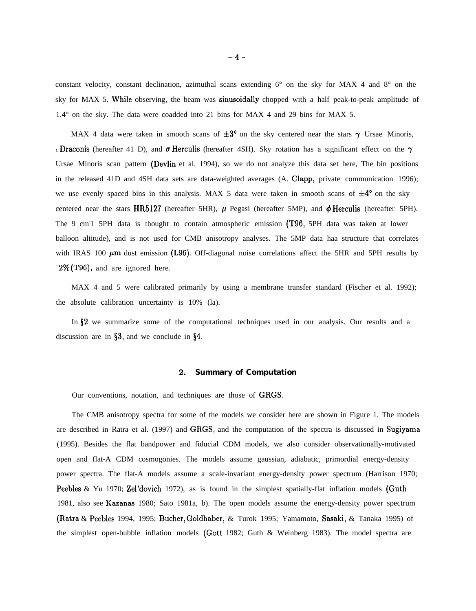constant velocity, constant declination, azimuthal scans extending 6° on the sky for MAX 4 and 8° on the sky for MAX 5. While observing, the beam was sinusoidally chopped with a half peak-to-peak amplitude of 1.4° on the sky. The data were coadded into 21 bins for MAX 4 and 29 bins for MAX 5.

MAX 4 data were taken in smooth scans of  $\pm 3^{\circ}$  on the sky centered near the stars  $\gamma$  Ursae Minoris, *L*Draconis (hereafter 41 D), and  $\sigma$  Herculis (hereafter 4SH). Sky rotation has a significant effect on the  $\gamma$ Ursae Minoris scan pattern (Devlin et al. 1994), so we do not analyze this data set here, The bin positions in the released 41D and 4SH data sets are data-weighted averages (A. Clapp, private communication 1996); we use evenly spaced bins in this analysis. MAX 5 data were taken in smooth scans of  $\pm 4^{\circ}$  on the sky centered near the stars HR5127 (hereafter 5HR),  $\mu$  Pegasi (hereafter 5MP), and  $\phi$  Herculis (hereafter 5PH). The 9 cm-1 5PH data is thought to contain atmospheric emission (T96, 5PH data was taken at lower balloon altitude), and is not used for CMB anisotropy analyses. The 5MP data haa structure that correlates with IRAS 100  $\mu$ m dust emission (L96). Off-diagonal noise correlations affect the 5HR and 5PH results by  $\degree$ 2% (T96), and are ignored here.

MAX 4 and 5 were calibrated primarily by using a membrane transfer standard (Fischer et al. 1992); the absolute calibration uncertainty is 10% (la).

In \$2 we summarize some of the computational techniques used in our analysis. Our results and a discussion are in  $\S3$ , and we conclude in  $\S4$ .

### **2. Summary of Computation**

Our conventions, notation, and techniques are those of GRGS.

The CMB anisotropy spectra for some of the models we consider here are shown in Figure 1. The models are described in Ratra et al. (1997) and GRGS, and the computation of the spectra is discussed in Sugiyama (1995). Besides the flat bandpower and fiducial CDM models, we also consider observationally-motivated open and flat-A CDM cosmogonies. The models assume gaussian, adiabatic, primordial energy-density power spectra. The flat-A models assume a scale-invariant energy-density power spectrum (Harrison 1970; Peebles & Yu 1970; Zel'dovich 1972), as is found in the simplest spatially-flat inflation models (Guth 1981, also see Kazanas 1980; Sato 1981a, b). The open models assume the energy-density power spectrum (Ratra & Peebles 1994, 1995; Bucher, Goldhaber, & Turok 1995; Yamamoto, Sasaki, & Tanaka 1995) of the simplest open-bubble inflation models (Gott 1982; Guth & Weinberg 1983). The model spectra are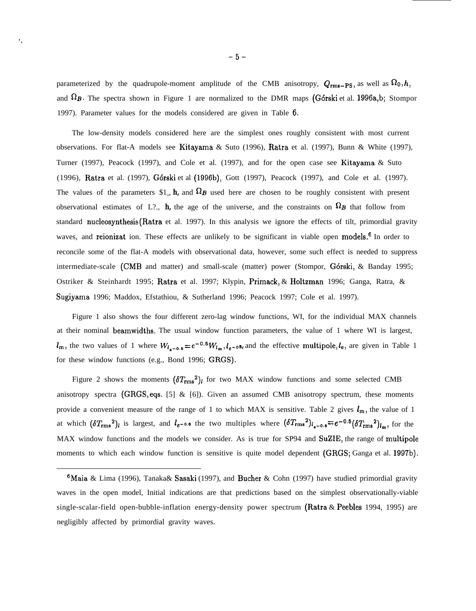parameterized by the quadrupole-moment amplitude of the CMB anisotropy,  $Q_{\rm rms-PS}$ , as well as  $\Omega_0$ , h, and  $\Omega_B$ . The spectra shown in Figure 1 are normalized to the DMR maps (Górski et al. 1996a,b; Stompor 1997). Parameter values for the models considered are given in Table 6.

The low-density models considered here are the simplest ones roughly consistent with most current observations. For flat-A models see Kitayama & Suto (1996), Ratra et al. (1997), Bunn & White (1997), Turner (1997), Peacock (1997), and Cole et al. (1997), and for the open case see Kitayama & Suto (1996), Ratra et al. (1997), G6rski et al (1996b), Gott (1997), Peacock (1997), and Cole et al. (1997). The values of the parameters  $$1_0$ , **h**, and  $\Omega$  used here are chosen to be roughly consistent with present observational estimates of L?., **h**, the age of the universe, and the constraints on  $\Omega_B$  that follow from standard nucleosynthesis (Ratra et al. 1997). In this analysis we ignore the effects of tilt, primordial gravity waves, and reionizat ion. These effects are unlikely to be significant in viable open models.<sup>6</sup> In order to reconcile some of the flat-A models with observational data, however, some such effect is needed to suppress intermediate-scale (CMB and matter) and small-scale (matter) power (Stompor, G6rski, & Banday 1995; Ostriker & Steinhardt 1995; Ratra et al. 1997; Klypin, Primack, & Holtzman 1996; Ganga, Ratra, & Sugiyama 1996; Maddox, Efstathiou, & Sutherland 1996; Peacock 1997; Cole et al. 1997).

Figure 1 also shows the four different zero-lag window functions, WI, for the individual MAX channels at their nominal beamwidths. The usual window function parameters, the value of 1 where WI is largest,  $l_{\rm m}$ , the two values of 1 where  $W_{l_{\rm m}-0.5} = e^{-0.5}W_{l_{\rm m}}, l_{e-0.5}$ , and the effective multipole,  $l_{\rm e}$ , are given in Table 1 for these window functions (e.g., Bond 1996; GRGS).

Figure 2 shows the moments  $(\delta T_{\rm rms}^2)_l$  for two MAX window functions and some selected CMB anisotropy spectra (GRGS, eqs. [5] & [6]). Given an assumed CMB anisotropy spectrum, these moments provide a convenient measure of the range of 1 to which MAX is sensitive. Table 2 gives  $l_m$ , the value of 1 at which  $(\delta T_{\rm rms}^2)_{l}$  is largest, and  $l_{e^{-0.5}}$  the two multiples where  $(\delta T_{\rm rms}^2)_{l_{e^{-0.5}}} = e^{-0.5} (\delta T_{\rm rms}^2)_{l_m}$ , for the MAX window functions and the models we consider. As is true for SP94 and SuZIE, the range of multipole moments to which each window function is sensitive is quite model dependent (GRGS; Ganga et al. 1997b).

<sup>&</sup>lt;sup>6</sup>Maia & Lima (1996), Tanaka& Sasaki (1997), and Bucher & Cohn (1997) have studied primordial gravity waves in the open model, Initial indications are that predictions based on the simplest observationally-viable single-scalar-field open-bubble-inflation energy-density power spectrum (Ratra & Peebles 1994, 1995) are negligibly affected by primordial gravity waves.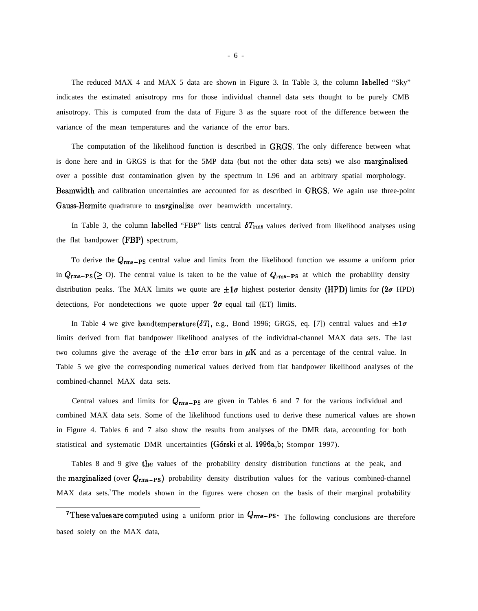The reduced MAX 4 and MAX 5 data are shown in Figure 3. In Table 3, the column labelled "Sky" indicates the estimated anisotropy rms for those individual channel data sets thought to be purely CMB anisotropy. This is computed from the data of Figure 3 as the square root of the difference between the variance of the mean temperatures and the variance of the error bars.

The computation of the likelihood function is described in GRGS. The only difference between what is done here and in GRGS is that for the 5MP data (but not the other data sets) we also marginalized over a possible dust contamination given by the spectrum in L96 and an arbitrary spatial morphology. Beamwidth and calibration uncertainties are accounted for as described in GRGS. We again use three-point Gauss-Hermite quadrature to marginalize over beamwidth uncertainty.

In Table 3, the column labelled "FBP" lists central  $\delta T_{\rm rms}$  values derived from likelihood analyses using the flat bandpower (FBP) spectrum,

To derive the  $Q_{rms-PS}$  central value and limits from the likelihood function we assume a uniform prior in  $Q_{\rm rms-PS} (\geq 0)$ . The central value is taken to be the value of  $Q_{\rm rms-PS}$  at which the probability density distribution peaks. The MAX limits we quote are  $\pm 1\sigma$  highest posterior density (HPD) limits for (2 $\sigma$  HPD) detections, For nondetections we quote upper  $2\sigma$  equal tail (ET) limits.

In Table 4 we give bandtemperature  $(\delta T_i)$ , e.g., Bond 1996; GRGS, eq. [7]) central values and  $\pm 1\sigma$ limits derived from flat bandpower likelihood analyses of the individual-channel MAX data sets. The last two columns give the average of the  $\pm 1\sigma$  error bars in  $\mu$ K and as a percentage of the central value. In Table 5 we give the corresponding numerical values derived from flat bandpower likelihood analyses of the combined-channel MAX data sets.

Central values and limits for  $Q_{\rm rms-PS}$  are given in Tables 6 and 7 for the various individual and combined MAX data sets. Some of the likelihood functions used to derive these numerical values are shown in Figure 4. Tables 6 and 7 also show the results from analyses of the DMR data, accounting for both statistical and systematic DMR uncertainties (G6rski et al. 1996a,b; Stompor 1997).

Tables 8 and 9 give the values of the probability density distribution functions at the peak, and the marginalized (over  $Q_{\rm rms-PS}$ ) probability density distribution values for the various combined-channel MAX data sets.<sup>7</sup>The models shown in the figures were chosen on the basis of their marginal probability

<sup>&</sup>lt;sup>7</sup>These values are computed using a uniform prior in  $Q_{\rm rms-PS}$ . The following conclusions are therefore based solely on the MAX data,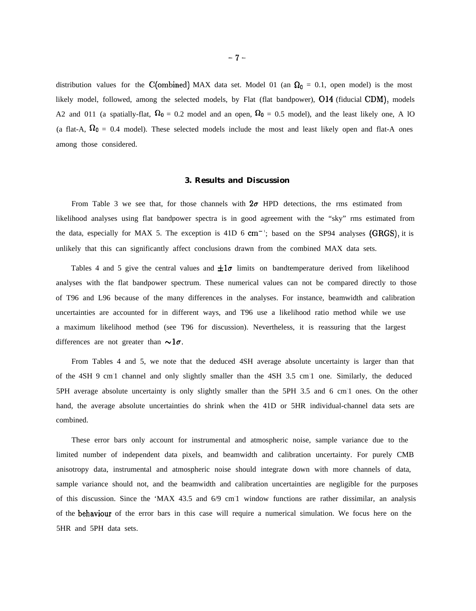distribution values for the C(ombined) MAX data set. Model 01 (an  $\Omega_0 = 0.1$ , open model) is the most likely model, followed, among the selected models, by Flat (flat bandpower),  $O14$  (fiducial CDM), models A2 and 011 (a spatially-flat,  $\Omega_0 = 0.2$  model and an open,  $\Omega_0 = 0.5$  model), and the least likely one, A 10 (a flat-A,  $\Omega_0 = 0.4$  model). These selected models include the most and least likely open and flat-A ones among those considered.

### **3. Results and Discussion**

From Table 3 we see that, for those channels with  $2\sigma$  HPD detections, the rms estimated from likelihood analyses using flat bandpower spectra is in good agreement with the "sky" rms estimated from the data, especially for MAX 5. The exception is  $41D$  6 cm<sup>-1</sup>; based on the SP94 analyses (GRGS), it is unlikely that this can significantly affect conclusions drawn from the combined MAX data sets.

Tables 4 and 5 give the central values and  $\pm 1\sigma$  limits on bandtemperature derived from likelihood analyses with the flat bandpower spectrum. These numerical values can not be compared directly to those of T96 and L96 because of the many differences in the analyses. For instance, beamwidth and calibration uncertainties are accounted for in different ways, and T96 use a likelihood ratio method while we use a maximum likelihood method (see T96 for discussion). Nevertheless, it is reassuring that the largest differences are not greater than  $\sim 1\sigma$ .

From Tables 4 and 5, we note that the deduced 4SH average absolute uncertainty is larger than that of the 4SH 9 cm<sup>1</sup> channel and only slightly smaller than the 4SH 3.5 cm<sup>1</sup> one. Similarly, the deduced 5PH average absolute uncertainty is only slightly smaller than the 5PH 3.5 and 6 cm 1 ones. On the other hand, the average absolute uncertainties do shrink when the 41D or 5HR individual-channel data sets are combined.

These error bars only account for instrumental and atmospheric noise, sample variance due to the limited number of independent data pixels, and beamwidth and calibration uncertainty. For purely CMB anisotropy data, instrumental and atmospheric noise should integrate down with more channels of data, sample variance should not, and the beamwidth and calibration uncertainties are negligible for the purposes of this discussion. Since the 'MAX 43.5 and 6/9 cm<sup>1</sup> window functions are rather dissimilar, an analysis of the behaviour of the error bars in this case will require a numerical simulation. We focus here on the 5HR and 5PH data sets.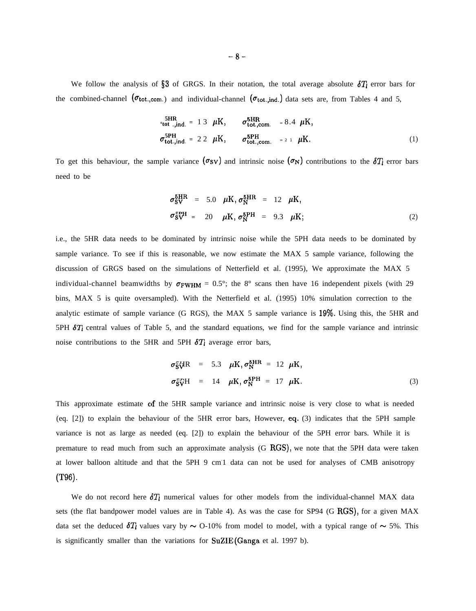We follow the analysis of §3 of GRGS. In their notation, the total average absolute  $\delta T_l$  error bars for the combined-channel ( $\sigma_{\text{tot.,com.}}$ ) and individual-channel ( $\sigma_{\text{tot.,ind.}}$ ) data sets are, from Tables 4 and 5,

$$
\sigma_{\text{tot.,ind.}}^{\text{SHR}} = 13 \ \mu\text{K}, \qquad \sigma_{\text{tot.,com.}}^{\text{SHR}} = 8.4 \ \mu\text{K},
$$
\n
$$
\sigma_{\text{tot.,ind.}}^{\text{SPH}} = 22 \ \mu\text{K}, \qquad \sigma_{\text{tot.,com.}}^{\text{SPH}} = 21 \ \mu\text{K}.
$$
\n(1)

To get this behaviour, the sample variance  $(\sigma_{SV})$  and intrinsic noise  $(\sigma_N)$  contributions to the  $\delta T_i$  error bars need to be

$$
\sigma_{\text{SV}}^{\text{5HR}} = 5.0 \quad \mu \text{K}, \, \sigma_{\text{N}}^{\text{5HR}} = 12 \quad \mu \text{K},
$$
\n
$$
\sigma_{\text{SV}}^{\text{5PH}} = 20 \quad \mu \text{K}, \, \sigma_{\text{N}}^{\text{5PH}} = 9.3 \quad \mu \text{K}; \tag{2}
$$

i.e., the 5HR data needs to be dominated by intrinsic noise while the 5PH data needs to be dominated by sample variance. To see if this is reasonable, we now estimate the MAX 5 sample variance, following the discussion of GRGS based on the simulations of Netterfield et al. (1995), We approximate the MAX 5 individual-channel beamwidths by  $\sigma_{\text{FWHM}} = 0.5^{\circ}$ ; the 8° scans then have 16 independent pixels (with 29 bins, MAX 5 is quite oversampled). With the Netterfield et al. (1995) 10% simulation correction to the analytic estimate of sample variance (G RGS), the MAX 5 sample variance is 1970, Using this, the 5HR and 5PH  $\delta T_1$  central values of Table 5, and the standard equations, we find for the sample variance and intrinsic noise contributions to the 5HR and 5PH  $\delta T_l$  average error bars,

$$
\sigma_{\text{S}}^2 \mathbf{\bar{y}} \mathbf{R} = 5.3 \quad \mu \mathbf{K}, \sigma_{\text{N}}^{\text{5HR}} = 12 \quad \mu \mathbf{K},
$$
\n
$$
\sigma_{\text{S}}^2 \mathbf{\bar{y}} \mathbf{H} = 14 \quad \mu \mathbf{K}, \sigma_{\text{N}}^{\text{5PH}} = 17 \quad \mu \mathbf{K}.
$$
\n(3)

This approximate estimate of the 5HR sample variance and intrinsic noise is very close to what is needed (eq. [2]) to explain the behaviour of the 5HR error bars, However, eq, (3) indicates that the 5PH sample variance is not as large as needed (eq. [2]) to explain the behaviour of the 5PH error bars. While it is premature to read much from such an approximate analysis (G RGS), we note that the 5PH data were taken at lower balloon altitude and that the 5PH 9 cm<sup>1</sup> data can not be used for analyses of CMB anisotropy (T96).

We do not record here  $\delta T_l$  numerical values for other models from the individual-channel MAX data sets (the flat bandpower model values are in Table 4). As was the case for SP94 (G RGS), for a given MAX data set the deduced  $\delta T_i$  values vary by  $\sim$  O-10% from model to model, with a typical range of  $\sim$  5%. This is significantly smaller than the variations for SuZIE (Ganga et al. 1997 b).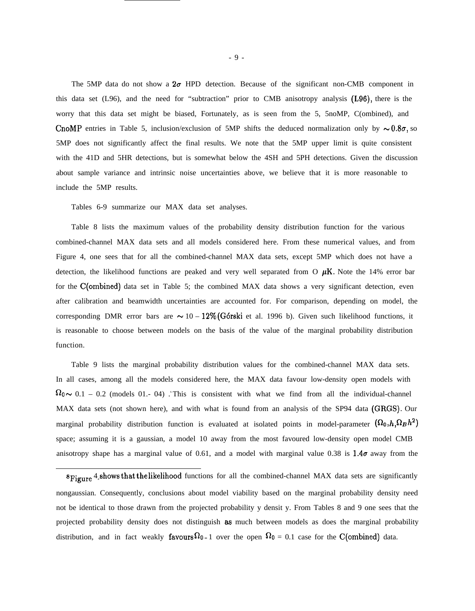The 5MP data do not show a  $2\sigma$  HPD detection. Because of the significant non-CMB component in this data set (L96), and the need for "subtraction" prior to CMB anisotropy analysis (L96), there is the worry that this data set might be biased, Fortunately, as is seen from the 5, 5noMP, C(ombined), and CnoMP entries in Table 5, inclusion/exclusion of 5MP shifts the deduced normalization only by  $\sim 0.8\sigma$ , so 5MP does not significantly affect the final results. We note that the 5MP upper limit is quite consistent with the 41D and 5HR detections, but is somewhat below the 4SH and 5PH detections. Given the discussion about sample variance and intrinsic noise uncertainties above, we believe that it is more reasonable to include the 5MP results.

Tables 6-9 summarize our MAX data set analyses.

Table 8 lists the maximum values of the probability density distribution function for the various combined-channel MAX data sets and all models considered here. From these numerical values, and from Figure 4, one sees that for all the combined-channel MAX data sets, except 5MP which does not have a detection, the likelihood functions are peaked and very well separated from O  $\mu$ K. Note the 14% error bar for the C(ombined) data set in Table 5; the combined MAX data shows a very significant detection, even after calibration and beamwidth uncertainties are accounted for. For comparison, depending on model, the corresponding DMR error bars are  $\sim 10 - 12\%$  (Górski et al. 1996 b). Given such likelihood functions, it is reasonable to choose between models on the basis of the value of the marginal probability distribution function.

Table 9 lists the marginal probability distribution values for the combined-channel MAX data sets. In all cases, among all the models considered here, the MAX data favour low-density open models with  $\Omega_0 \sim 0.1 - 0.2$  (models 01.-04) . This is consistent with what we find from all the individual-channel MAX data sets (not shown here), and with what is found from an analysis of the SP94 data (GRGS). Our marginal probability distribution function is evaluated at isolated points in model-parameter  $(\Omega_0, h, \Omega_B h^2)$ space; assuming it is a gaussian, a model 10 away from the most favoured low-density open model CMB anisotropy shape has a marginal value of 0.61, and a model with marginal value 0.38 is  $1.4\sigma$  away from the

8Figure 4. shows that the likelihood functions for all the combined-channel MAX data sets are significantly nongaussian. Consequently, conclusions about model viability based on the marginal probability density need not be identical to those drawn from the projected probability y densit y. From Tables 8 and 9 one sees that the projected probability density does not distinguish as much between models as does the marginal probability distribution, and in fact weakly favours  $\Omega_{0} = 1$  over the open  $\Omega_{0} = 0.1$  case for the C(ombined) data.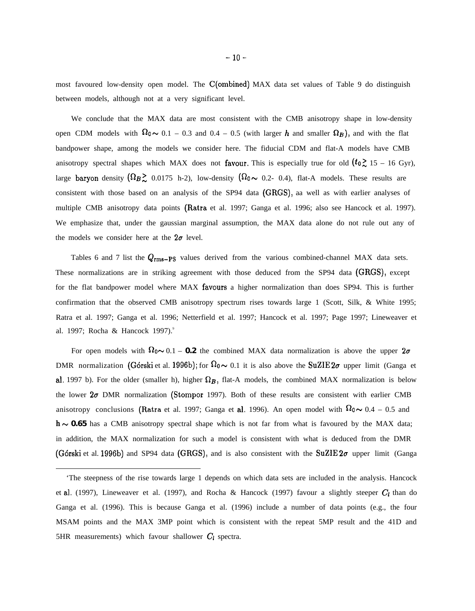most favoured low-density open model. The C(ombined) MAX data set values of Table 9 do distinguish between models, although not at a very significant level.

We conclude that the MAX data are most consistent with the CMB anisotropy shape in low-density open CDM models with  $\Omega_0 \sim 0.1 - 0.3$  and  $0.4 - 0.5$  (with larger h and smaller  $\Omega_B$ ), and with the flat bandpower shape, among the models we consider here. The fiducial CDM and flat-A models have CMB anisotropy spectral shapes which MAX does not favour. This is especially true for old  $(t_0 \gtrsim 15 - 16 \text{ Gyr})$ , large baryon density  $({\Omega_B}\gtrsim 0.0175 \text{ h-2})$ , low-density  $({\Omega_0}\sim 0.2\text{ - 0.4})$ , flat-A models. These results are consistent with those based on an analysis of the SP94 data (GRGS), aa well as with earlier analyses of multiple CMB anisotropy data points (Ratra et al. 1997; Ganga et al. 1996; also see Hancock et al. 1997). We emphasize that, under the gaussian marginal assumption, the MAX data alone do not rule out any of the models we consider here at the  $2\sigma$  level.

Tables 6 and 7 list the  $Q_{\rm rms-PS}$  values derived from the various combined-channel MAX data sets. These normalizations are in striking agreement with those deduced from the SP94 data (GRGS), except for the flat bandpower model where MAX favours a higher normalization than does SP94. This is further confirmation that the observed CMB anisotropy spectrum rises towards large 1 (Scott, Silk, & White 1995; Ratra et al. 1997; Ganga et al. 1996; Netterfield et al. 1997; Hancock et al. 1997; Page 1997; Lineweaver et al. 1997; Rocha & Hancock 1997).<sup>9</sup>

For open models with  $\Omega_0 \sim 0.1 - 0.2$  the combined MAX data normalization is above the upper  $2\sigma$ DMR normalization (Górski et al. 1996b); for  $\Omega_0 \sim 0.1$  it is also above the SuZIE  $2\sigma$  upper limit (Ganga et al. 1997 b). For the older (smaller h), higher  $\Omega_B$ , flat-A models, the combined MAX normalization is below the lower  $2\sigma$  DMR normalization (Stompor 1997). Both of these results are consistent with earlier CMB anisotropy conclusions (Ratra et al. 1997; Ganga et al. 1996). An open model with  $\Omega_0 \sim 0.4 - 0.5$  and  $h \sim 0.65$  has a CMB anisotropy spectral shape which is not far from what is favoured by the MAX data; in addition, the MAX normalization for such a model is consistent with what is deduced from the DMR (Górski et al. 1996b) and SP94 data (GRGS), and is also consistent with the SuZIE  $2\sigma$  upper limit (Ganga

<sup>&#</sup>x27;The steepness of the rise towards large 1 depends on which data sets are included in the analysis. Hancock et al. (1997), Lineweaver et al. (1997), and Rocha & Hancock (1997) favour a slightly steeper  $C_l$  than do Ganga et al. (1996). This is because Ganga et al. (1996) include a number of data points (e.g., the four MSAM points and the MAX 3MP point which is consistent with the repeat 5MP result and the 41D and 5HR measurements) which favour shallower  $C_l$  spectra.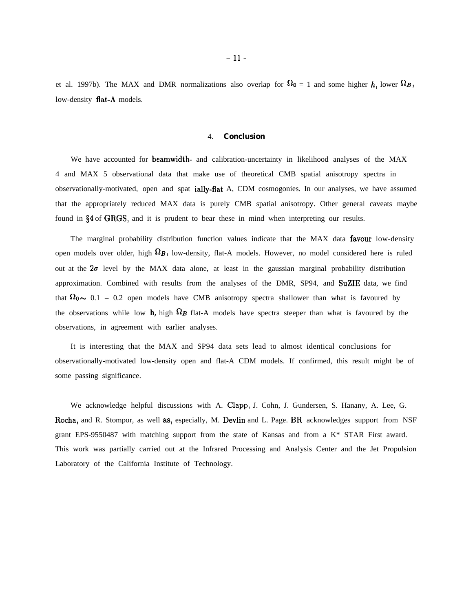et al. 1997b). The MAX and DMR normalizations also overlap for  $\Omega_0 = 1$  and some higher h, lower  $\Omega_B$ , low-density flat- $\Lambda$  models.

#### 4. **Conclusion**

We have accounted for beamwidth- and calibration-uncertainty in likelihood analyses of the MAX 4 and MAX 5 observational data that make use of theoretical CMB spatial anisotropy spectra in observationally-motivated, open and spat ially-flat A, CDM cosmogonies. In our analyses, we have assumed that the appropriately reduced MAX data is purely CMB spatial anisotropy. Other general caveats maybe found in \$4 of GRGS, and it is prudent to bear these in mind when interpreting our results.

The marginal probability distribution function values indicate that the MAX data favour low-density open models over older, high  $\Omega_B$ , low-density, flat-A models. However, no model considered here is ruled out at the  $2\sigma$  level by the MAX data alone, at least in the gaussian marginal probability distribution approximation. Combined with results from the analyses of the DMR, SP94, and SuZIE data, we find that  $\Omega_0 \sim 0.1$  – 0.2 open models have CMB anisotropy spectra shallower than what is favoured by the observations while low **h**, high  $\Omega_B$  flat-A models have spectra steeper than what is favoured by the observations, in agreement with earlier analyses.

It is interesting that the MAX and SP94 data sets lead to almost identical conclusions for observationally-motivated low-density open and flat-A CDM models. If confirmed, this result might be of some passing significance.

We acknowledge helpful discussions with A. Clapp, J. Cohn, J. Gundersen, S. Hanany, A. Lee, G. Rocha, and R. Stompor, as well aa, especially, M. Devlin and L. Page. BR acknowledges support from NSF grant EPS-9550487 with matching support from the state of Kansas and from a K\* STAR First award. This work was partially carried out at the Infrared Processing and Analysis Center and the Jet Propulsion Laboratory of the California Institute of Technology.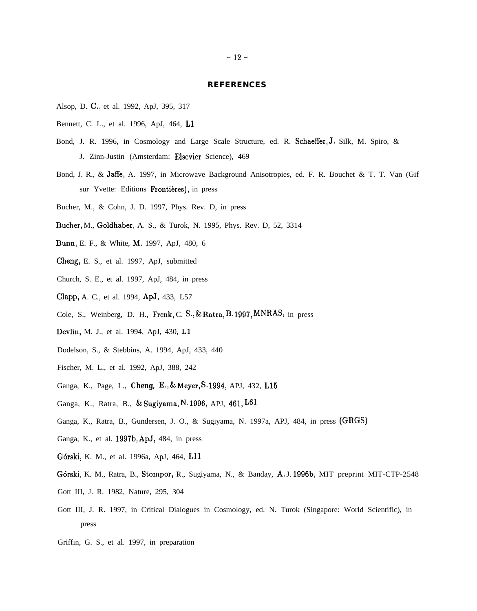#### **REFERENCES**

- Alsop, D. C., et al. 1992, ApJ, 395, 317
- Bennett, C. L., et al. 1996, ApJ, 464, L1
- Bond, J. R. 1996, in Cosmology and Large Scale Structure, ed. R. Schaeffer, J. Silk, M. Spiro, & J. Zinn-Justin (Amsterdam: Elsevier Science), 469
- Bond, J. R., & Jaffe, A. 1997, in Microwave Background Anisotropies, ed. F. R. Bouchet & T. T. Van (Gif sur Yvette: Editions Frontières), in press
- Bucher, M., & Cohn, J. D. 1997, Phys. Rev. D, in press
- Bucher, M., Goldhaber, A. S., & Turok, N. 1995, Phys. Rev. D, 52, 3314
- Bunn, E. F., & White, M. 1997, ApJ, 480, 6
- Cheng, E. S., et al. 1997, ApJ, submitted
- Church, S. E., et al. 1997, ApJ, 484, in press
- Clapp, A. C., et al. 1994, APJ, 433, L57
- Cole, S., Weinberg, D. H., Frenk, C. S., & Ratra, B.1997, MNRAS, in press
- Devlin, M. J., et al. 1994, ApJ, 430, L1
- Dodelson, S., & Stebbins, A. 1994, ApJ, 433, 440
- Fischer, M. L., et al. 1992, ApJ, 388, 242
- Ganga, K., Page, L., *Cheng, E., & Meyer, s.* 1994, APJ, 432, L15
- Ganga, K., Ratra, B., & Sugiyama, N. 1996, APJ, 461, L61
- Ganga, K., Ratra, B., Gundersen, J. O., & Sugiyama, N. 1997a, APJ, 484, in press (GRGS)
- Ganga, K., et al. 1997b, APJ, 484, in press
- G6rski, K. M., et al. 1996a, ApJ, 464, Lll
- G6rski, K. M., Ratra, B., Stompor, R., Sugiyama, N., & Banday, A. J. 1996b, MIT preprint MIT-CTP-2548
- Gott III, J. R. 1982, Nature, 295, 304
- Gott III, J. R. 1997, in Critical Dialogues in Cosmology, ed. N. Turok (Singapore: World Scientific), in press
- Griffin, G. S., et al. 1997, in preparation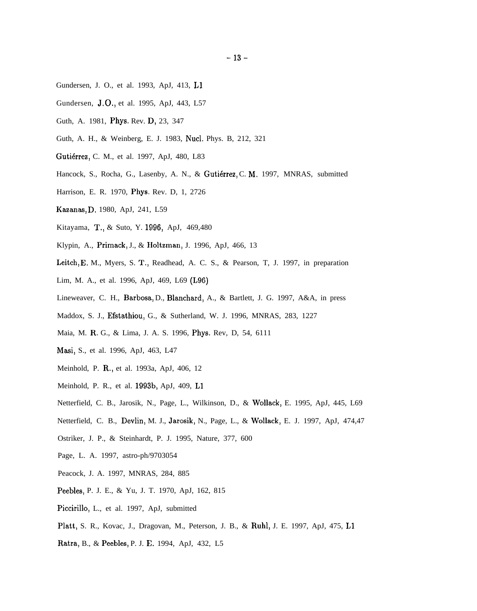- Gundersen, J. O., et al. 1993, ApJ, 413, L1
- Gundersen, **J.O.**, et al. 1995, ApJ, 443, L57
- Guth, A. 1981, Phys. Rev. D, 23, 347
- Guth, A. H., & Weinberg, E. J. 1983, Nucl. Phys. B, 212, 321
- Gutiérrez, C. M., et al. 1997, ApJ, 480, L83
- Hancock, S., Rocha, G., Lasenby, A. N., & Gutiérrez, C. M. 1997, MNRAS, submitted
- Harrison, E. R. 1970, Phys. Rev. D, 1, 2726
- Kazanas, D. 1980, ApJ, 241, L59
- Kitayama, T,, & Suto, Y. 1996, ApJ, 469,480
- Klypin, A., Primack, J., & Holtzman, J. 1996, ApJ, 466, 13
- Leitch, E. M., Myers, S. T,, Readhead, A. C. S., & Pearson, T, J. 1997, in preparation
- Lim, M. A., et al. 1996, ApJ, 469, L69 (L96)
- Lineweaver, C. H., Barbosa, D., Blanchard, A., & Bartlett, J. G. 1997, A&A, in press
- Maddox, S. J., Efstathiou, G., & Sutherland, W. J. 1996, MNRAS, 283, 1227
- Maia, M. R. G., & Lima, J. A. S. 1996, Phys. Rev, D, 54, 6111
- Masi, S., et al. 1996, ApJ, 463, L47
- Meinhold, P. R., et al. 1993a, ApJ, 406, 12
- Meinhold, P. R., et al. 1993b, ApJ, 409, L1
- Netterfield, C. B., Jarosik, N., Page, L., Wilkinson, D., & Wollack, E. 1995, ApJ, 445, L69
- Netterfield, C. B., Devlin, M. J., Jarosik, N., Page, L., & Wollack, E. J. 1997, ApJ, 474,47
- Ostriker, J. P., & Steinhardt, P. J. 1995, Nature, 377, 600
- Page, L. A. 1997, astro-ph/9703054
- Peacock, J. A. 1997, MNRAS, 284, 885
- Peebles, P. J. E., & Yu, J. T. 1970, ApJ, 162, 815
- Piccirillo, L., et al. 1997, ApJ, submitted
- Platt, S. R., Kovac, J., Dragovan, M., Peterson, J. B., & Ruhl, J. E. 1997, ApJ, 475, L1
- Ratra, B., & Peebles, P. J. E. 1994, ApJ, 432, L5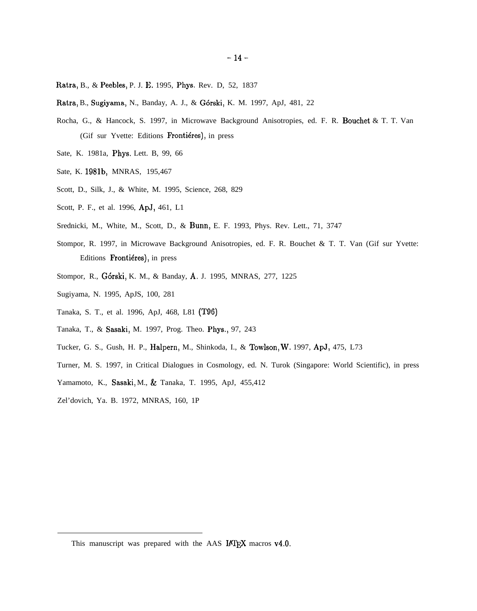- Ratra, B., & Peebles, P. J. E. 1995, Phys. Rev. D, 52, 1837
- Ratra, B., Sugiyama, N., Banday, A. J., & Górski, K. M. 1997, ApJ, 481, 22
- Rocha, G., & Hancock, S. 1997, in Microwave Background Anisotropies, ed. F. R. Bouchet & T. T. Van (Gif sur Yvette: Editions Frontiéres), in press
- Sate, K. 1981a, Phys. Lett. B, 99, 66
- Sate, K. 1981b, MNRAS, 195,467
- Scott, D., Silk, J., & White, M. 1995, Science, 268, 829
- Scott, P. F., et al. 1996, ApJ, 461, L1
- Srednicki, M., White, M., Scott, D., & Bunn, E. F. 1993, Phys. Rev. Lett., 71, 3747
- Stompor, R. 1997, in Microwave Background Anisotropies, ed. F. R. Bouchet & T. T. Van (Gif sur Yvette: Editions Frontiéres), in press
- Stompor, R., G6rski, K. M., & Banday, A. J. 1995, MNRAS, 277, 1225
- Sugiyama, N. 1995, ApJS, 100, 281
- Tanaka, S. T., et al. 1996, ApJ, 468, L81 (T96)
- Tanaka, T., & Sasaki, M. 1997, Prog. Theo. Phys., 97, 243
- Tucker, G. S., Gush, H. P., Halpern, M., Shinkoda, I., & Towlson, W. 1997, APJ, 475, L73
- Turner, M. S. 1997, in Critical Dialogues in Cosmology, ed. N. Turok (Singapore: World Scientific), in press
- Yamamoto, K., Sasaki, M., & Tanaka, T. 1995, ApJ, 455,412
- Zel'dovich, Ya. B. 1972, MNRAS, 160, 1P

This manuscript was prepared with the AAS  $IATFX$  macros v4.0.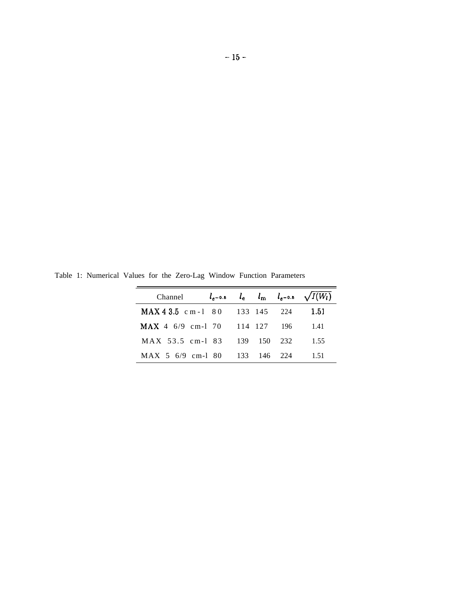Table 1: Numerical Values for the Zero-Lag Window Function Parameters

| Channel $l_{e^{-0.5}}$ $l_{e}$ $l_{m}$ $l_{e^{-0.5}}$ $\sqrt{I(W_{l})}$ |  |  |      |
|-------------------------------------------------------------------------|--|--|------|
| MAX 4 3.5 cm - 1 80 133 145 224                                         |  |  | 1.51 |
| MAX 4 6/9 cm-1 70 114 127 196                                           |  |  | 1.41 |
| MAX 53.5 cm-1 83 139 150 232                                            |  |  | 1.55 |
| MAX 5 6/9 cm-1 80 133 146 224                                           |  |  | 1.51 |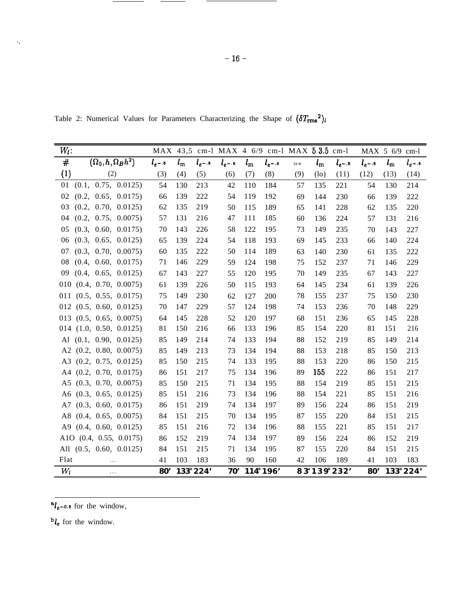Table 2: Numerical Values for Parameters Characterizing the Shape of  $(\delta T_{\rm rms}^2)_l$ 

| $W_l$ :                         |               |             |                       |               |             | MAX 43,5 cm-1 MAX 4 6/9 cm-1 MAX 5 3.5 cm-1 |      |             |               |               | $MAX 5 6/9$ cm-l |               |
|---------------------------------|---------------|-------------|-----------------------|---------------|-------------|---------------------------------------------|------|-------------|---------------|---------------|------------------|---------------|
| #<br>$(\Omega_0,h,\Omega_Bh^2)$ | $l_{e^{-.5}}$ | $l_{\rm m}$ | $l_{e^{-.5}}$         | $l_{e^{-.5}}$ | $l_{\rm m}$ | $l_{e^{-.5}}$                               | [e-b | $l_{\rm m}$ | $l_{e^{-.5}}$ | $l_{e^{-.5}}$ | $l_{\rm m}$      | $l_{e^{-.5}}$ |
| (1)<br>(2)                      | (3)           | (4)         | (5)                   | (6)           | (7)         | (8)                                         | (9)  | $(\infty)$  | (11)          | (12)          | (13)             | (14)          |
| (0.1, 0.75, 0.0125)<br>01       | 54            | 130         | 213                   | 42            | 110         | 184                                         | 57   | 135         | 221           | 54            | 130              | 214           |
| (0.2, 0.65, 0.0175)<br>02       | 66            | 139         | 222                   | 54            | 119         | 192                                         | 69   | 144         | 230           | 66            | 139              | 222           |
| (0.2, 0.70, 0.0125)<br>03       | 62            | 135         | 219                   | 50            | 115         | 189                                         | 65   | 141         | 228           | 62            | 135              | 220           |
| (0.2, 0.75, 0.0075)<br>04       | 57            | 131         | 216                   | 47            | 111         | 185                                         | 60   | 136         | 224           | 57            | 131              | 216           |
| 05<br>(0.3, 0.60, 0.0175)       | 70            | 143         | 226                   | 58            | 122         | 195                                         | 73   | 149         | 235           | 70            | 143              | 227           |
| (0.3, 0.65, 0.0125)<br>06       | 65            | 139         | 224                   | 54            | 118         | 193                                         | 69   | 145         | 233           | 66            | 140              | 224           |
| 07<br>(0.3, 0.70, 0.0075)       | 60            | 135         | 222                   | 50            | 114         | 189                                         | 63   | 140         | 230           | 61            | 135              | 222           |
| (0.4, 0.60, 0.0175)<br>08       | 71            | 146         | 229                   | 59            | 124         | 198                                         | 75   | 152         | 237           | 71            | 146              | 229           |
| 09<br>(0.4, 0.65, 0.0125)       | 67            | 143         | 227                   | 55            | 120         | 195                                         | 70   | 149         | 235           | 67            | 143              | 227           |
| $010$ $(0.4, 0.70, 0.0075)$     | 61            | 139         | 226                   | 50            | 115         | 193                                         | 64   | 145         | 234           | 61            | 139              | 226           |
| $011$ $(0.5, 0.55, 0.0175)$     | 75            | 149         | 230                   | 62            | 127         | 200                                         | 78   | 155         | 237           | 75            | 150              | 230           |
| $012$ $(0.5, 0.60, 0.0125)$     | 70            | 147         | 229                   | 57            | 124         | 198                                         | 74   | 153         | 236           | 70            | 148              | 229           |
| $013$ $(0.5, 0.65, 0.0075)$     | 64            | 145         | 228                   | 52            | 120         | 197                                         | 68   | 151         | 236           | 65            | 145              | 228           |
| $014$ $(1.0, 0.50, 0.0125)$     | 81            | 150         | 216                   | 66            | 133         | 196                                         | 85   | 154         | 220           | 81            | 151              | 216           |
| Al $(0.1, 0.90, 0.0125)$        | 85            | 149         | 214                   | 74            | 133         | 194                                         | 88   | 152         | 219           | 85            | 149              | 214           |
| A2 $(0.2, 0.80, 0.0075)$        | 85            | 149         | 213                   | 73            | 134         | 194                                         | 88   | 153         | 218           | 85            | 150              | 213           |
| A3 (0.2, 0.75, 0.0125)          | 85            | 150         | 215                   | 74            | 133         | 195                                         | 88   | 153         | 220           | 86            | 150              | 215           |
| $A4$ (0.2, 0.70, 0.0175)        | 86            | 151         | 217                   | 75            | 134         | 196                                         | 89   | 155         | 222           | 86            | 151              | 217           |
| A5 $(0.3, 0.70, 0.0075)$        | 85            | 150         | 215                   | 71            | 134         | 195                                         | 88   | 154         | 219           | 85            | 151              | 215           |
| A6 $(0.3, 0.65, 0.0125)$        | 85            | 151         | 216                   | 73            | 134         | 196                                         | 88   | 154         | 221           | 85            | 151              | 216           |
| (0.3, 0.60, 0.0175)<br>A7       | 86            | 151         | 219                   | 74            | 134         | 197                                         | 89   | 156         | 224           | 86            | 151              | 219           |
| A8 (0.4, 0.65, 0.0075)          | 84            | 151         | 215                   | 70            | 134         | 195                                         | 87   | 155         | 220           | 84            | 151              | 215           |
| $A9$ (0.4, 0.60, 0.0125)        | 85            | 151         | 216                   | 72            | 134         | 196                                         | 88   | 155         | 221           | 85            | 151              | 217           |
| A1O (0.4, 0.55, 0.0175)         | 86            | 152         | 219                   | 74            | 134         | 197                                         | 89   | 156         | 224           | 86            | 152              | 219           |
| All $(0.5, 0.60, 0.0125)$       | 84            | 151         | 215                   | 71            | 134         | 195                                         | 87   | 155         | 220           | 84            | 151              | 215           |
| Flat<br>$\cdots$                | 41            | 103         | 183                   | 36            | 90          | 160                                         | 42   | 106         | 189           | 41            | 103              | 183           |
| $W_l$<br>$\cdots$               | 80'           |             | 133 <sup>b</sup> 224' | 70'           |             | 114 <sup>b</sup> 196'                       |      | 83°139°232' |               | 80'           |                  | 133°224'      |

 $a_{\ell_{e^{-0.5}}}$  for the window,

**<sub>** $**l**$ **<sub>e</sub> for the window.**</sub>

 $\gamma_{\star}$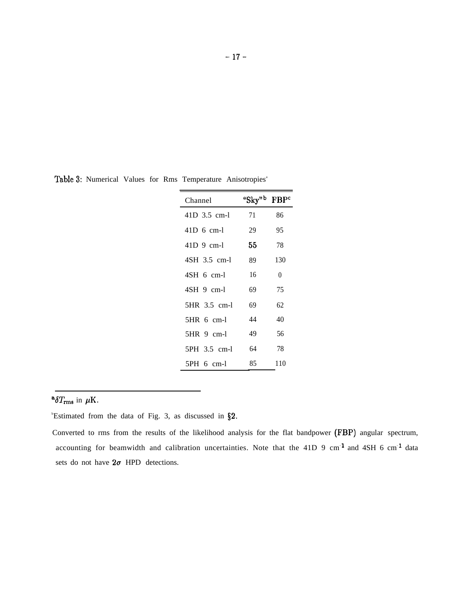| remperature Amsoupples |                    |                         |
|------------------------|--------------------|-------------------------|
| Channel                | "Sky" <sup>b</sup> | <b>FBP</b> <sup>c</sup> |
| 41D 3.5 cm-1           | 71                 | 86                      |
| $41D$ 6 cm-l           | 29                 | 95                      |
| $41D$ 9 cm-1           | 55.                | 78                      |
| 4SH 3.5 cm-1           | 89                 | 130                     |
| $4SH$ 6 cm-1           | 16                 | 0                       |
| $4SH$ 9 cm-1           | 69                 | 75                      |
| 5HR 3.5 cm-l           | 69                 | 62                      |
| $5HR$ 6 cm-1           | 44                 | 40                      |
| 5HR 9 cm-1             | 49                 | 56                      |
| 5PH 3.5 cm-l           | 64                 | 78                      |
| $5PH_6$ cm-1           | 85                 | 110                     |

Table 3: Numerical Values for Rms Temperature Anisotropies<sup>a</sup>

 ${}^{\bf a}\delta T_{\rm rms}$  in  $\mu {\rm K}.$ 

 $b$ Estimated from the data of Fig. 3, as discussed in  $\S2$ .

Converted to rms from the results of the likelihood analysis for the flat bandpower (FBP) angular spectrum, accounting for beamwidth and calibration uncertainties. Note that the 41D 9 cm<sup>-1</sup> and 4SH 6 cm<sup>-1</sup> data sets do not have  $2\sigma$  HPD detections.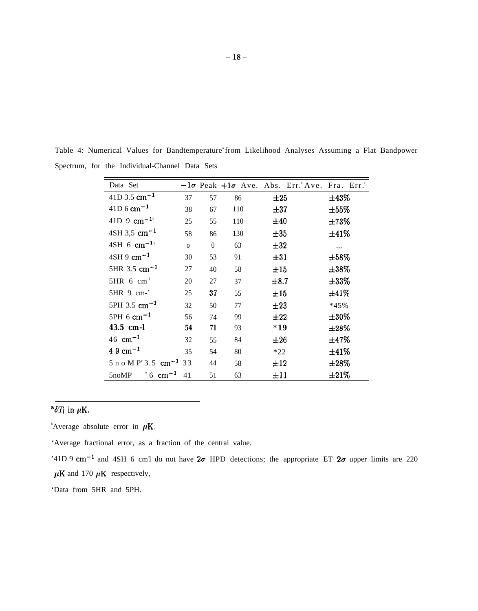| Data Set                                    |              |          |     | $-1\sigma$ Peak $+1\sigma$ Ave. Abs. Err. Ave. Fra. Err. |            |
|---------------------------------------------|--------------|----------|-----|----------------------------------------------------------|------------|
| $41D$ 3.5 cm <sup>-1</sup>                  | 37           | 57       | 86  | $\pm 25$                                                 | $\pm 43\%$ |
| $41D_6$ cm <sup>-1</sup>                    | 38           | 67       | 110 | $\pm 37$                                                 | $\pm 55\%$ |
| 41D 9 $cm^{-1}$ <sup>d</sup>                | 25           | 55       | 110 | ±40                                                      | $\pm 73\%$ |
| $4SH$ 3,5 cm <sup>-1</sup>                  | 58           | 86       | 130 | $\pm 35$                                                 | ±41%       |
| $4SH$ 6 cm <sup>-1<sup>d</sup></sup>        | $\mathbf{O}$ | $\theta$ | 63  | $\pm 32$                                                 | $\cdots$   |
| $4SH9$ cm <sup>-1</sup>                     | 30           | 53       | 91  | $\pm 31$                                                 | $\pm 58\%$ |
| 5HR $3.5 \text{ cm}^{-1}$                   | 27           | 40       | 58  | ±15                                                      | $\pm 38\%$ |
| $5HR \, 6 \, cm^{-1}$                       | 20           | 27       | 37  | $\pm 8.7$                                                | $\pm 33\%$ |
| 5HR 9 cm-'                                  | 25           | 37       | 55  | ±15                                                      | ±41%       |
| $5PH$ 3.5 cm <sup>-1</sup>                  | 32           | 50       | 77  | $\pm 23$                                                 | $*45%$     |
| $5PH 6 \text{ cm}^{-1}$                     | 56           | 74       | 99  | ±22                                                      | $\pm 30\%$ |
| 43.5 cm-l                                   | 54           | 71       | 93  | $*19$                                                    | $\pm 28\%$ |
| 46 cm <sup>-1</sup>                         | 32           | 55       | 84  | ±26                                                      | $\pm 47\%$ |
| $4.9 \text{ cm}^{-1}$                       | 35           | 54       | 80  | $*22$                                                    | ±41%       |
| 5 n o M $P^{\circ}$ 3.5 cm <sup>-1</sup> 33 |              | 44       | 58  | ±12                                                      | $\pm 28\%$ |
| $\degree$ 6 cm <sup>-1</sup><br>5noMP       | 41           | 51       | 63  | ±11                                                      | $\pm 21\%$ |

Table 4: Numerical Values for Bandtemperature<sup>ª</sup>from Likelihood Analyses Assuming a Flat Bandpower Spectrum, for the Individual-Channel Data Sets

# <sup>a</sup> $\delta T_l$  in  $\mu$ K.

 $\Delta$ verage absolute error in  $\mu$ K.

'Average fractional error, as a fraction of the central value.

'41D 9 cm<sup>-1</sup> and 4SH 6 cm1 do not have  $2\sigma$  HPD detections; the appropriate ET  $2\sigma$  upper limits are 220  $\mu$ K and 170  $\mu$ K respectively,

'Data from 5HR and 5PH.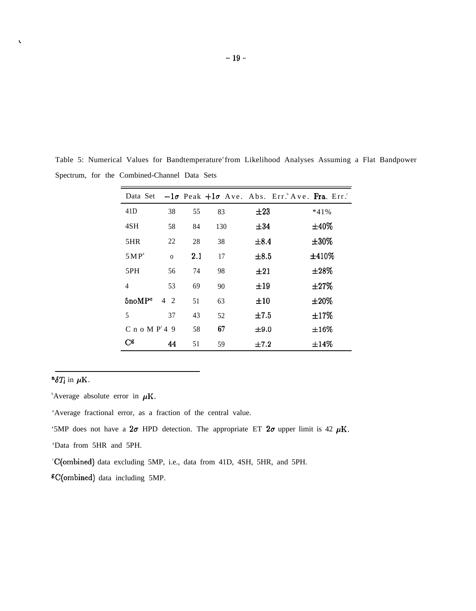| Data Set           |              |     |     |           | $-1\sigma$ Peak $+1\sigma$ Ave. Abs. Err. Ave. Fra. Err. |
|--------------------|--------------|-----|-----|-----------|----------------------------------------------------------|
| 41 <sub>D</sub>    | 38           | 55  | 83  | $\pm 23$  | $*41\%$                                                  |
| 4SH                | 58           | 84  | 130 | ±34       | $\pm 40\%$                                               |
| 5HR                | 22           | 28  | 38  | $\pm 8.4$ | $\pm 30\%$                                               |
| 5 MP <sup>d</sup>  | $\mathbf{O}$ | 2.1 | 17  | $\pm 8.5$ | ±410%                                                    |
| 5PH                | 56           | 74  | 98  | $\pm 21$  | $\pm 28\%$                                               |
| 4                  | 53           | 69  | 90  | $\pm 19$  | $\pm 27\%$                                               |
| 5noMP <sup>e</sup> | $4\quad2$    | 51  | 63  | ±10       | $\pm 20\%$                                               |
| 5                  | 37           | 43  | 52  | ±7.5      | ±17%                                                     |
| C n o M $Pf$ 4 9   |              | 58  | 67  | $\pm 9.0$ | $\pm 16\%$                                               |
| $C^g$              | 44           | 51  | 59  | $\pm 7.2$ | $\pm 14\%$                                               |

Table 5: Numerical Values for Bandtemperature<sup>®</sup>from Likelihood Analyses Assuming a Flat Bandpower Spectrum, for the Combined-Channel Data Sets

# $^{\bf a}\delta T_l$  in  $\mu$ K.

 $\bar{\mathbf{v}}$ 

 $\Delta$ verage absolute error in  $\mu$ K.

'Average fractional error, as a fraction of the central value.

'5MP does not have a  $2\sigma$  HPD detection. The appropriate ET  $2\sigma$  upper limit is 42  $\mu$ K.

'Data from 5HR and 5PH.

<sup>f</sup>C(ombined) data excluding 5MP, i.e., data from 41D, 4SH, 5HR, and 5PH.

<sup>g</sup>C(ombined) data including 5MP.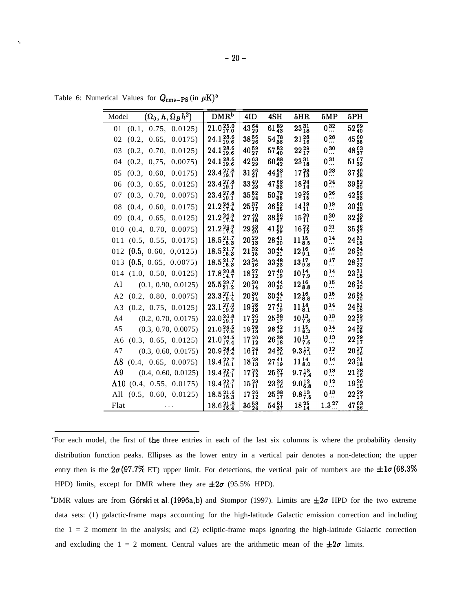Table 6: Numerical Values for  $Q_{\rm rms-PS}$  (in  $\mu$ K)<sup>a</sup>

. .

| $(\Omega_0, h, \Omega_B h^2)$<br>Model | DMR <sup>b</sup>              | 4ID                     | 4SH                     | 5HR                       | 5MP                      | 5PH                     |
|----------------------------------------|-------------------------------|-------------------------|-------------------------|---------------------------|--------------------------|-------------------------|
| $01$ $(0.1, 0.75, 0.0125)$             | $21.0\substack{25.0 \\ 17.0}$ | 43.54                   | 61 $_{43}^{89}$         | $23\frac{31}{18}$         | $0^{32}$                 | 52 $^{69}_{40}$         |
| (0.2, 0.65, 0.0175)<br>02              | $24.1_{19.6}^{28.6}$          | 3856                    | $54^{78}_{38}$          | $21^{28}_{16}$            | $0^{28}$                 | $45_{35}^{60}$          |
| 03<br>(0.2, 0.70, 0.0125)              | $24.1_{19.6}^{28.6}$          | $40\frac{59}{27}$       | $57^{82}_{40}$          | $22^{29}_{17}$            | $0^{30}$                 | $48^{63}_{37}$          |
| (0.2, 0.75, 0.0075)<br>04              | $24.1\substack{28.6 \\ 19.6}$ | $42^{63}_{29}$          | $60_{42}^{88}$          | $23\frac{31}{18}$         | $0^{31}$                 | $51\frac{67}{39}$       |
| (0.3, 0.60, 0.0175)<br>05              | $23.4_{19.1}^{27.8}$          | $31\frac{46}{21}$       | $44_{31}^{63}$          | $17^{23}_{13}$            | $0^{23}$                 | $37\frac{49}{28}$       |
| (0.3, 0.65, 0.0125)<br>06              | $23.4_{19.1}^{27.8}$          | $33\frac{49}{23}$       | $47\frac{68}{33}$       | $18^{24}_{14}$            | $0\stackrel{24}{\ldots}$ | 39 $\frac{52}{30}$      |
| 07<br>(0.3, 0.70, 0.0075)              | $23.4_{19.1}^{27.8}$          | $35\frac{52}{24}$       | $50\frac{73}{35}$       | $19^{26}_{15}$            | $0^{26}$                 | $42\frac{56}{33}$       |
| (0.4, 0.60, 0.0175)<br>08              | $21.2_{17.4}^{24.9}$          | $25\frac{37}{17}$       | $36\frac{52}{25}$       | $14^{19}_{11}$            | $0^{19}$                 | $30\frac{40}{23}$       |
| (0.4, 0.65, 0.0125)<br>09              | $21.2_{17.4}^{24.9}$          | $27\substack{40 \\ 18}$ | $38\frac{56}{27}$       | $15^{20}_{11}$            | $0\,{}^{20}_{\cdots}$    | $32^{43}_{25}$          |
| (0.4, 0.70, 0.0075)<br>010             | $21.2_{17.4}^{24.9}$          | $29\frac{43}{20}$       | $41\frac{60}{29}$       | $16^{22}_{12}$            | $0\,{}^{21}_{\cdots}$    | $35\frac{46}{27}$       |
| (0.5, 0.55, 0.0175)<br>011             | $18.5_{15.3}^{21.7}$          | $20\substack{29 \\ 13}$ | $28\frac{41}{20}$       | $11\substack{15 \ 8.5}$   | $0\,{}^{14}_{\cdots}$    | $24\substack{31 \\ 18}$ |
| $012$ (0.5, 0.60, 0,0125)              | $18.5_{15.3}^{21.7}$          | $21\substack{32 \\ 15}$ | $30\frac{44}{21}$       | $12\substack{16 \\ 9.1}$  | $0^{16}$                 | $26\frac{34}{20}$       |
| (0.5, 0.65, 0.0075)<br>013             | $18.5_{15.3}^{21.7}$          | $23\frac{34}{16}$       | $33\frac{48}{23}$       | $13\frac{17}{9.8}$        | $0^{17}$                 | $28\frac{37}{22}$       |
| $014$ $(1.0, 0.50, 0.0125)$            | $17.8_{14.7}^{20.8}$          | $18^{27}_{12}$          | $27\substack{40 \\ 19}$ | $10\frac{14}{7.9}$        | $0\,{}^{14}_{}$          | $23\frac{31}{18}$       |
| (0.1, 0.90, 0.0125)<br>A1              | $25.5_{21.2}^{29.7}$          | $20\frac{30}{14}$       | $30\frac{44}{20}$       | $12^{16}_{8.8}$           | $0\stackrel{15}{\ldots}$ | $26_{20}^{34}$          |
| A2 $(0.2, 0.80, 0.0075)$               | $23.3_{19.4}^{27.1}$          | $20\frac{30}{14}$       | $30\frac{44}{21}$       | $12^{16}_{8.8}$           | $0\stackrel{15}{\ldots}$ | $26_{20}^{34}$          |
| A3 (0.2, 0.75, 0.0125)                 | $23.1_{19.2}^{27.0}$          | $19^{28}_{13}$          | $27\substack{41 \ 19}$  | $11\substack{14 \ 8.1}$   | $0^{14}$                 | $24\substack{31 \\ 18}$ |
| (0.2, 0.70, 0.0175)<br>A4              | $23.0_{19.1}^{26.8}$          | $17^{26}_{12}$          | $25^{38}_{17}$          | $10\frac{13}{7.6}$        | $0^{13}$                 | $22^{29}_{17}$          |
| (0.3, 0.70, 0.0075)<br>A5              | $21.0_{17.5}^{24.5}$          | 1928                    | $28^{42}_{19}$          | $11\frac{15}{8.2}$        | $0\,{}^{14}_{}$          | $24^{32}_{18}$          |
| A6 $(0.3, 0.65, 0.0125)$               | $21.0\substack{24.5 \\ 17.4}$ | $17^{26}_{12}$          | $26^{38}_{18}$          | $10^{13}_{\ 7.6}$         | $0^{13}$                 | $22^{29}_{17}$          |
| A7<br>(0.3, 0.60, 0.0175)              | $20.9_{17.4}^{24.4}$          | $16_{11}^{24}$          | $24\substack{35 \\ 16}$ | $9.3\frac{12}{7.1}$       | 0 <sup>12</sup>          | $20^{27}_{16}$          |
| $\Lambda 8$<br>(0.4, 0.65, 0.0075)     | $19.4_{16.1}^{22.7}$          | $18^{28}_{13}$          | $27\frac{41}{19}$       | $11\substack{14 \ 8.0}$   | $0^{14}$                 | $23\frac{31}{18}$       |
| $\Lambda$ 9<br>(0.4, 0.60, 0.0125)     | $19.4_{16.1}^{22.7}$          | $17^{25}_{12}$          | $25^{37}_{17}$          | $9.7\frac{13}{7.4}$       | $0^{13}$                 | $21^{28}_{16}$          |
| $\Lambda$ 10 (0.4, 0.55, 0.0175)       | $19.4_{16.1}^{22.7}$          | $15\frac{23}{11}$       | $23\substack{34 \ 16}$  | $9.0^{12}_{6.8}$          | $0^{12}$                 | 1926                    |
| All $(0.5, 0.60, 0.0125)$              | $18.5_{15.3}^{21.6}$          | $17^{26}_{12}$          | $25^{38}_{17}$          | $9.8\substack{13 \\ 7.5}$ | $0^{13}$                 | $22^{29}_{17}$          |
| Flat                                   | $18.6_{15.4}^{21.8}$          | $36\frac{53}{24}$       | $54\frac{81}{37}$       | $18^{25}_{14}$            | $1.3\frac{27}{1.2}$      | 47 $^{63}_{36}$         |

<sup>&#</sup>x27;For each model, the first of the three entries in each of the last six columns is where the probability density distribution function peaks. Ellipses as the lower entry in a vertical pair denotes a non-detection; the upper entry then is the  $2\sigma (97.7\%$  ET) upper limit. For detections, the vertical pair of numbers are the  $\pm 1\sigma (68.3\%$ HPD) limits, except for DMR where they are  $\pm 2\sigma$  (95.5% HPD).

<sup>&</sup>lt;sup>b</sup>DMR values are from Górski et al. (1996a,b) and Stompor (1997). Limits are  $\pm 2\sigma$  HPD for the two extreme data sets: (1) galactic-frame maps accounting for the high-latitude Galactic emission correction and including the  $1 = 2$  moment in the analysis; and (2) ecliptic-frame maps ignoring the high-latitude Galactic correction and excluding the  $1 = 2$  moment. Central values are the arithmetic mean of the  $\pm 2\sigma$  limits.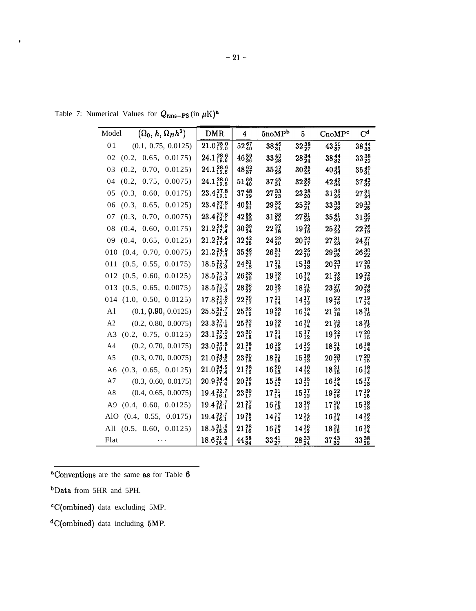Table 7: Numerical Values for  $Q_{\rm rms-PS}$  (in  $\mu$ K)<sup>a</sup>

\*

| $(\Omega_0, h, \Omega_B h^2)$<br>Model | <b>DMR</b>                    | 4                       | 5n o MP <sup>b</sup>    | $5^{\circ}$       | CnoMP <sup>c</sup>      | C <sup>d</sup>          |
|----------------------------------------|-------------------------------|-------------------------|-------------------------|-------------------|-------------------------|-------------------------|
| 01<br>(0.1, 0.75, 0.0125)              | $21.0\substack{25.0 \\ 17.0}$ | $52\frac{67}{40}$       | $38^{46}_{31}$          | 3238              | $43\frac{50}{37}$       | $38\frac{44}{33}$       |
| (0.2, 0.65, 0.0175)<br>02              | $24.1_{19.6}^{28.6}$          | $46_{36}^{59}$          | $33\frac{40}{28}$       | $28_{24}^{34}$    | $38_{32}^{44}$          | $33_{29}^{38}$          |
| (0.2, 0.70, 0.0125)<br>03              | $24.1\substack{28.6 \\ 19.6}$ | $48^{62}_{37}$          | $35\frac{42}{29}$       | $30\frac{35}{25}$ | $40\frac{46}{34}$       | $35_{31}^{40}$          |
| (0.2, 0.75, 0.0075)<br>04              | $24.1_{19.6}^{28.6}$          | 51 $\frac{66}{40}$      | $37\frac{45}{31}$       | $32\frac{38}{27}$ | $42_{36}^{49}$          | $37\frac{43}{32}$       |
| (0.3, 0.60, 0.0175)<br>05              | $23.4_{19.1}^{27.8}$          | $37\frac{48}{29}$       | $27\frac{33}{23}$       | $23\frac{28}{20}$ | $31\frac{36}{26}$       | $27\frac{31}{24}$       |
| (0.3, 0.65, 0.0125)<br>06              | $23.4_{19.1}^{27.8}$          | $40\frac{51}{31}$       | $29\substack{35 \\ 24}$ | $25^{29}_{21}$    | $33^{38}_{28}$          | $29\substack{33 \\ 25}$ |
| (0.3, 0.70, 0.0075)<br>07              | $23.4_{19.1}^{27.8}$          | $42\frac{55}{33}$       | $31\frac{38}{26}$       | $27\frac{31}{23}$ | $35\frac{41}{30}$       | $31\frac{36}{27}$       |
| (0.4, 0.60, 0.0175)<br>08              | $21.2\substack{24.9 \\ 17.4}$ | $30\frac{39}{24}$       | $22\substack{27 \\ 18}$ | $19_{16}^{22}$    | $25\substack{29 \\ 22}$ | $22^{26}_{19}$          |
| (0.4, 0.65, 0.0125)<br>09              | $21.2_{17.4}^{24.9}$          | $32\frac{42}{25}$       | $24\substack{29 \\ 20}$ | $20^{24}_{17}$    | $27\frac{31}{23}$       | $24\substack{27 \\ 21}$ |
| $010$ $(0.4, 0.70, 0.0075)$            | $21.2\substack{24.9 \\ 17.4}$ | $35\frac{46}{27}$       | $26_{21}^{31}$          | $22^{26}_{19}$    | $29\frac{34}{25}$       | $26_{22}^{30}$          |
| $011$ $(0.5, 0.55, 0.0175)$            | $18.5_{15.3}^{21.7}$          | $24\substack{31 \\ 18}$ | $17\substack{21 \ 15}$  | $15^{18}_{13}$    | $20\substack{23 \\ 17}$ | $17^{20}_{15}$          |
| 012 (0.5, 0.60, 0.0125)                | $18.5_{15.3}^{21.7}$          | $26\substack{33 \\ 20}$ | $19\substack{23 \ 16}$  | $16^{19}_{14}$    | $21\substack{25 \\ 18}$ | $19_{16}^{22}$          |
| $013$ $(0.5, 0.65, 0.0075)$            | $18.5_{15.3}^{21.7}$          | $28\frac{36}{22}$       | $20^{25}_{17}$          | $18^{21}_{15}$    | $23\frac{27}{20}$       | $20^{24}_{18}$          |
| $014$ $(1.0, 0.50, 0.0125)$            | $17.8_{14.7}^{20.8}$          | $22^{29}_{17}$          | $17^{21}_{14}$          | $14^{17}_{12}$    | $19^{22}_{16}$          | $17^{19}_{14}$          |
| (0.1, 0.90, 0.0125)<br>A <sub>1</sub>  | $25.5_{21.2}^{29.7}$          | $25_{19}^{32}$          | $19^{23}_{16}$          | $16^{19}_{14}$    | $21^{24}_{18}$          | $18^{21}_{16}$          |
| A <sub>2</sub><br>(0.2, 0.80, 0.0075)  | $23.3_{19.4}^{27.1}$          | $25\frac{32}{19}$       | $19^{23}_{16}$          | $16^{19}_{14}$    | $21\frac{24}{18}$       | $18^{21}_{16}$          |
| A3 (0.2, 0.75, 0.0125)                 | $23.1_{19.2}^{27.0}$          | $23\frac{30}{18}$       | $17^{21}_{14}$          | $15^{17}_{12}$    | $19^{22}_{17}$          | $17^{20}_{15}$          |
| A4<br>(0.2, 0.70, 0.0175)              | $23.0_{19.1}^{26.8}$          | $21^{28}_{16}$          | $16^{19}_{13}$          | $14^{16}_{12}$    | $18^{21}_{15}$          | $16^{18}_{14}$          |
| (0.3, 0.70, 0.0075)<br>A <sub>5</sub>  | $21.0_{17.5}^{24.5}$          | $23^{30}_{18}$          | $18^{21}_{15}$          | $15^{18}_{13}$    | $20\frac{23}{17}$       | $17^{20}_{15}$          |
| A6 $(0.3, 0.65, 0.0125)$               | $21.0_{17.4}^{24.5}$          | $21^{28}_{16}$          | $16_{13}^{20}$          | $14^{16}_{12}$    | $18^{21}_{15}$          | $16^{18}_{14}$          |
| A7<br>(0.3, 0.60, 0.0175)              | $20.9_{17.4}^{24.4}$          | $20^{26}_{15}$          | $15^{18}_{12}$          | $13^{15}_{11}$    | $16^{19}_{14}$          | $15^{17}_{13}$          |
| A8<br>(0.4, 0.65, 0.0075)              | $19.4_{16.1}^{22.7}$          | $23\frac{30}{17}$       | $17^{21}_{14}$          | $15^{17}_{12}$    | $19^{22}_{16}$          | $17^{19}_{15}$          |
| (0.4, 0.60, 0.0125)<br>A <sub>9</sub>  | $19.4_{16.1}^{22.7}$          | $21_{16}^{27}$          | $16^{19}_{13}$          | $13^{16}_{11}$    | $17^{20}_{15}$          | $15^{18}_{13}$          |
| (0.4, 0.55, 0.0175)<br>AlO             | $19.4_{16.1}^{22.7}$          | $19^{25}_{15}$          | $14^{17}_{12}$          | $12\frac{14}{10}$ | $16^{19}_{14}$          | $14^{16}_{12}$          |
| All $(0.5, 0.60, 0.0125)$              | $18.5_{15.3}^{21.6}$          | $21^{28}_{16}$          | $16^{19}_{13}$          | $14^{16}_{12}$    | $18^{21}_{15}$          | $16^{18}_{14}$          |
| Flat                                   | $18.6_{15.4}^{21.8}$          | 44 58                   | $33\frac{41}{27}$       | $28\frac{33}{24}$ | $37\frac{43}{32}$       | $33\frac{38}{28}$       |

aConventions are the same as for Table 6.

bData from 5HR and 5PH.

CC(ombined) data excluding 5MP.

<sup>&#</sup>x27;C(ombined) data including 5MP.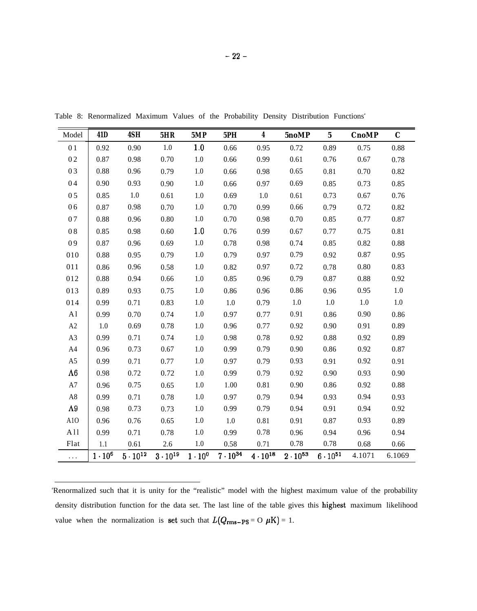| Model          | 41 <sub>D</sub>  | 4SH               | 5HR  | 5MP                                | 5PH               | 4                 | 5noMP             | $5\phantom{.0}$   | <b>CnoMP</b> | $\mathbf C$ |
|----------------|------------------|-------------------|------|------------------------------------|-------------------|-------------------|-------------------|-------------------|--------------|-------------|
| 01             | 0.92             | 0.90              | 1.0  | 1.0                                | 0.66              | 0.95              | 0.72              | 0.89              | 0.75         | 0.88        |
| 02             | 0.87             | 0.98              | 0.70 | 1.0                                | 0.66              | 0.99              | 0.61              | 0.76              | 0.67         | 0.78        |
| 03             | 0.88             | 0.96              | 0.79 | 1.0                                | 0.66              | 0.98              | 0.65              | 0.81              | 0.70         | 0.82        |
| 04             | 0.90             | 0.93              | 0.90 | 1.0                                | 0.66              | 0.97              | 0.69              | 0.85              | 0.73         | 0.85        |
| 05             | 0.85             | $1.0\,$           | 0.61 | $1.0\,$                            | 0.69              | $1.0\,$           | 0.61              | 0.73              | 0.67         | 0.76        |
| 06             | 0.87             | 0.98              | 0.70 | $1.0\,$                            | 0.70              | 0.99              | 0.66              | 0.79              | 0.72         | 0.82        |
| 07             | 0.88             | 0.96              | 0.80 | 1.0                                | 0.70              | 0.98              | 0.70              | 0.85              | 0.77         | 0.87        |
| 08             | 0.85             | 0.98              | 0.60 | 1.0                                | 0.76              | 0.99              | 0.67              | 0.77              | 0.75         | 0.81        |
| 09             | 0.87             | 0.96              | 0.69 | $1.0\,$                            | 0.78              | 0.98              | 0.74              | 0.85              | 0.82         | 0.88        |
| 010            | 0.88             | 0.95              | 0.79 | 1.0                                | 0.79              | 0.97              | 0.79              | 0.92              | 0.87         | 0.95        |
| 011            | 0.86             | 0.96              | 0.58 | 1.0                                | 0.82              | 0.97              | 0.72              | 0.78              | $0.80\,$     | 0.83        |
| 012            | 0.88             | 0.94              | 0.66 | 1.0                                | 0.85              | 0.96              | 0.79              | 0.87              | 0.88         | 0.92        |
| 013            | 0.89             | 0.93              | 0.75 | 1.0                                | 0.86              | 0.96              | 0.86              | 0.96              | 0.95         | $1.0\,$     |
| 014            | 0.99             | 0.71              | 0.83 | 1.0                                | $1.0\,$           | 0.79              | 1.0               | 1.0               | $1.0\,$      | $1.0\,$     |
| $\mathbf{A}1$  | 0.99             | 0.70              | 0.74 | $1.0\,$                            | 0.97              | 0.77              | 0.91              | 0.86              | 0.90         | 0.86        |
| $\rm A2$       | $1.0\,$          | 0.69              | 0.78 | 1.0                                | 0.96              | 0.77              | 0.92              | 0.90              | 0,91         | 0.89        |
| A3             | 0.99             | 0.71              | 0.74 | 1.0                                | 0.98              | 0.78              | 0.92              | 0.88              | 0.92         | 0.89        |
| A4             | 0.96             | 0.73              | 0.67 | $1.0\,$                            | 0.99              | 0.79              | 0.90              | 0.86              | 0.92         | 0.87        |
| A <sub>5</sub> | 0.99             | 0.71              | 0.77 | 1.0                                | 0.97              | 0.79              | 0.93              | 0.91              | 0.92         | 0.91        |
| $\Lambda 6$    | 0.98             | 0.72              | 0.72 | 1.0                                | 0.99              | 0.79              | 0.92              | 0.90              | 0.93         | 0.90        |
| $\rm A7$       | 0.96             | 0.75              | 0.65 | 1.0                                | 1.00              | 0.81              | 0.90              | 0.86              | 0.92         | 0.88        |
| $\rm A8$       | 0.99             | 0.71              | 0.78 | 1.0                                | 0.97              | 0.79              | 0.94              | 0.93              | 0.94         | 0.93        |
| $\Lambda$ 9    | 0.98             | 0.73              | 0.73 | 1.0                                | 0.99              | 0.79              | 0.94              | 0.91              | 0.94         | 0.92        |
| A10            | 0.96             | 0.76              | 0.65 | 1.0                                | 1.0               | 0.81              | 0.91              | 0.87              | 0.93         | 0.89        |
| A11            | 0.99             | 0.71              | 0.78 | 1.0                                | 0.99              | 0.78              | 0.96              | 0.94              | 0.96         | 0.94        |
| Flat           | 1.1              | 0.61              | 2.6  | $1.0\,$                            | 0.58              | 0.71              | 0.78              | 0.78              | 0.68         | 0.66        |
| $\ldots$       | $1 \cdot 10^{6}$ | $5 \cdot 10^{12}$ |      | $3 \cdot 10^{19}$ $1 \cdot 10^{0}$ | $7 \cdot 10^{34}$ | $4 \cdot 10^{18}$ | $2 \cdot 10^{53}$ | $6 \cdot 10^{51}$ | 4.1071       | 6.1069      |

Table 8: Renormalized Maximum Values of the Probability Density Distribution Functions<sup>a</sup>

<sup>a</sup>Renormalized such that it is unity for the "realistic" model with the highest maximum value of the probability density distribution function for the data set. The last line of the table gives this highest maximum likelihood value when the normalization is set such that  $L(Q_{\rm rms-PS} = O \mu K) = 1$ .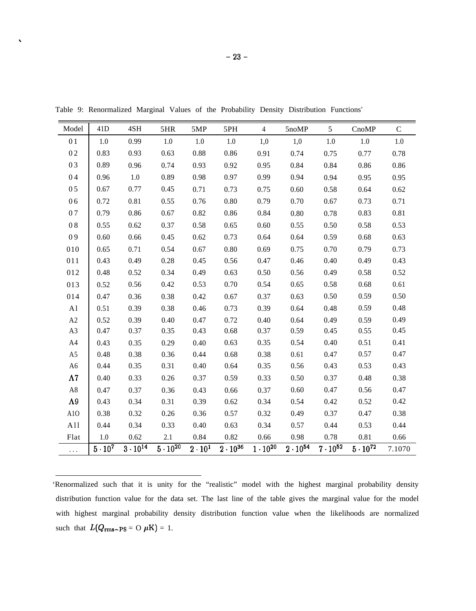| Model          | 41D          | 4SH                          | 5HR               | 5MP           | 5PH                          | 4                 | 5noMP             | $5\overline{)}$   | CnoMP           | $\mathbf C$ |
|----------------|--------------|------------------------------|-------------------|---------------|------------------------------|-------------------|-------------------|-------------------|-----------------|-------------|
| 01             | 1.0          | 0.99                         | 1.0               | 1.0           | 1.0                          | 1,0               | 1,0               | 1.0               | 1.0             | 1.0         |
| 02             | 0.83         | 0.93                         | 0.63              | 0.88          | 0.86                         | 0.91              | 0.74              | 0.75              | 0.77            | 0.78        |
| 03             | 0.89         | 0.96                         | 0.74              | 0.93          | 0.92                         | 0.95              | 0.84              | 0.84              | 0.86            | 0.86        |
| 04             | 0.96         | $1.0\,$                      | 0.89              | 0.98          | 0.97                         | 0.99              | 0.94              | 0.94              | 0.95            | 0.95        |
| 05             | 0.67         | 0.77                         | 0.45              | 0.71          | 0.73                         | 0.75              | 0.60              | 0.58              | 0.64            | 0.62        |
| 06             | 0.72         | 0.81                         | 0.55              | 0.76          | $0.80\,$                     | 0.79              | 0.70              | 0.67              | 0.73            | 0.71        |
| 07             | 0.79         | 0.86                         | 0.67              | 0.82          | 0.86                         | 0.84              | $0.80\,$          | 0.78              | 0.83            | 0.81        |
| $0\;8$         | 0.55         | 0.62                         | 0.37              | 0.58          | 0.65                         | 0.60              | 0.55              | 0.50              | 0.58            | 0.53        |
| 09             | 0.60         | 0.66                         | 0.45              | 0.62          | 0.73                         | 0.64              | 0.64              | 0.59              | 0.68            | 0.63        |
| 010            | 0.65         | 0.71                         | 0.54              | 0.67          | 0.80                         | 0.69              | 0.75              | 0.70              | 0.79            | 0.73        |
| 011            | 0.43         | 0.49                         | 0.28              | 0.45          | 0.56                         | 0.47              | 0.46              | 0.40              | 0.49            | 0.43        |
| 012            | 0.48         | 0.52                         | 0.34              | 0.49          | 0.63                         | 0.50              | 0.56              | 0.49              | 0.58            | 0.52        |
| 013            | 0.52         | 0.56                         | 0.42              | 0.53          | 0.70                         | 0.54              | 0.65              | 0.58              | 0.68            | 0.61        |
| 014            | 0.47         | 0.36                         | 0.38              | 0.42          | 0.67                         | 0.37              | 0.63              | 0.50              | 0.59            | 0.50        |
| A1             | 0.51         | 0.39                         | 0.38              | 0.46          | 0.73                         | 0.39              | 0.64              | 0.48              | 0.59            | 0.48        |
| A2             | 0.52         | 0.39                         | 0.40              | 0.47          | 0.72                         | 0.40              | 0.64              | 0.49              | 0.59            | 0.49        |
| A3             | 0.47         | 0.37                         | 0.35              | 0.43          | 0.68                         | 0.37              | 0.59              | 0.45              | 0.55            | 0.45        |
| A4             | 0.43         | 0.35                         | 0.29              | 0.40          | 0.63                         | 0.35              | 0.54              | 0.40              | 0.51            | 0.41        |
| A <sub>5</sub> | 0.48         | 0.38                         | 0.36              | 0.44          | 0.68                         | 0.38              | 0.61              | 0.47              | 0.57            | 0.47        |
| A6             | 0.44         | 0.35                         | 0.31              | 0.40          | 0.64                         | 0.35              | 0.56              | 0.43              | 0.53            | 0.43        |
| $\Lambda7$     | 0.40         | 0.33                         | 0.26              | 0.37          | 0.59                         | 0.33              | 0.50              | 0.37              | 0.48            | 0.38        |
| $\rm A8$       | 0.47         | 0.37                         | 0.36              | 0.43          | 0.66                         | 0.37              | 0.60              | 0.47              | 0.56            | 0.47        |
| $\Lambda 9$    | 0.43         | 0.34                         | 0.31              | 0.39          | 0.62                         | 0.34              | 0.54              | 0.42              | 0.52            | 0.42        |
| A10            | 0.38         | 0.32                         | 0.26              | 0.36          | 0.57                         | 0.32              | 0.49              | 0.37              | 0.47            | 0.38        |
| A11            | 0.44         | 0.34                         | 0.33              | 0.40          | 0.63                         | 0.34              | 0.57              | 0.44              | 0.53            | 0.44        |
| Flat           | $1.0\,$      | 0.62                         | 2.1               | 0.84          | 0.82                         | 0.66              | 0.98              | 0.78              | 0.81            | 0.66        |
| $\ldots$       | $5\cdot10^7$ | $3 \cdot \overline{10^{14}}$ | $5 \cdot 10^{20}$ | $2\cdot 10^1$ | $\overline{2} \cdot 10^{36}$ | $1 \cdot 10^{20}$ | $2 \cdot 10^{54}$ | $7 \cdot 10^{52}$ | $5\cdot10^{72}$ | 7.1070      |

Table 9: Renormalized Marginal Values of the Probability Density Distribution Functions<sup>a</sup>

.

'Renormalized such that it is unity for the "realistic" model with the highest marginal probability density distribution function value for the data set. The last line of the table gives the marginal value for the model with highest marginal probability density distribution function value when the likelihoods are normalized such that  $L(Q_{\rm rms-PS} = O \mu \text{K}) = 1$ .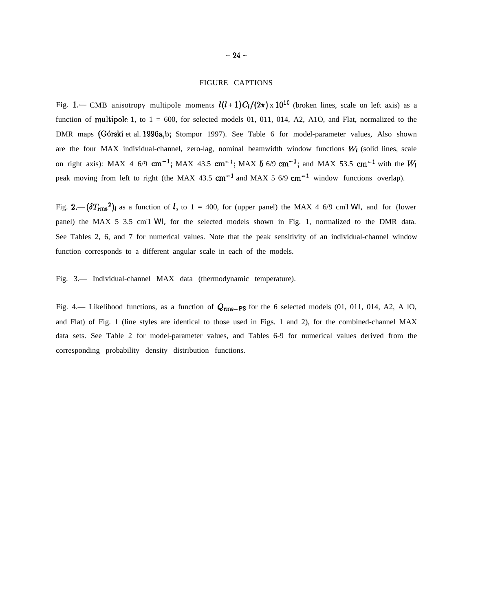# FIGURE CAPTIONS

Fig. 1.— CMB anisotropy multipole moments  $l(l+1)C_l/(2\pi) \times 10^{10}$  (broken lines, scale on left axis) as a function of multipole 1, to  $1 = 600$ , for selected models 01, 011, 014, A2, A1O, and Flat, normalized to the DMR maps (Górski et al. 1996a,b; Stompor 1997). See Table 6 for model-parameter values, Also shown are the four MAX individual-channel, zero-lag, nominal beamwidth window functions  $W_l$  (solid lines, scale on right axis): MAX 4 6/9 cm<sup>-1</sup>; MAX 43.5 cm<sup>-1</sup>; MAX 5 6/9 cm<sup>-1</sup>; and MAX 53.5 cm<sup>-1</sup> with the  $W_l$ peak moving from left to right (the MAX 43.5  $cm^{-1}$  and MAX 5 6/9  $cm^{-1}$  window functions overlap).

Fig.  $2.-(\delta T_{\rm rms}^2)$  as a function of *l*, to  $1 = 400$ , for (upper panel) the MAX 4 6/9 cm1 *WI*, and for (lower panel) the MAX 5 3.5 cm<sup>1</sup> *WI*, for the selected models shown in Fig. 1, normalized to the DMR data. See Tables 2, 6, and 7 for numerical values. Note that the peak sensitivity of an individual-channel window function corresponds to a different angular scale in each of the models.

Fig. 3.— Individual-channel MAX data (thermodynamic temperature).

Fig. 4.— Likelihood functions, as a function of  $Q_{\rm rms-PS}$  for the 6 selected models (01, 011, 014, A2, A 10, and Flat) of Fig. 1 (line styles are identical to those used in Figs. 1 and 2), for the combined-channel MAX data sets. See Table 2 for model-parameter values, and Tables 6-9 for numerical values derived from the corresponding probability density distribution functions.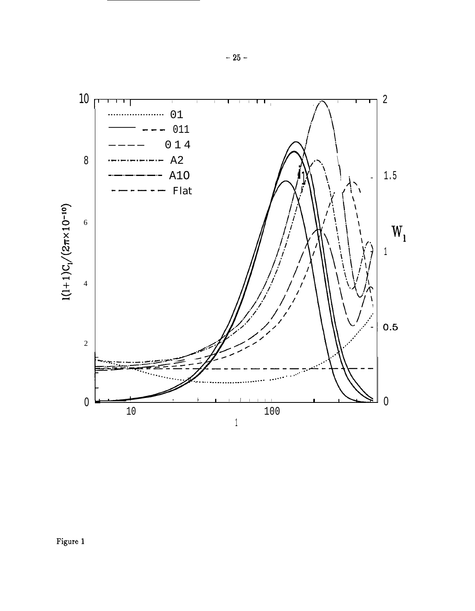

Figure 1